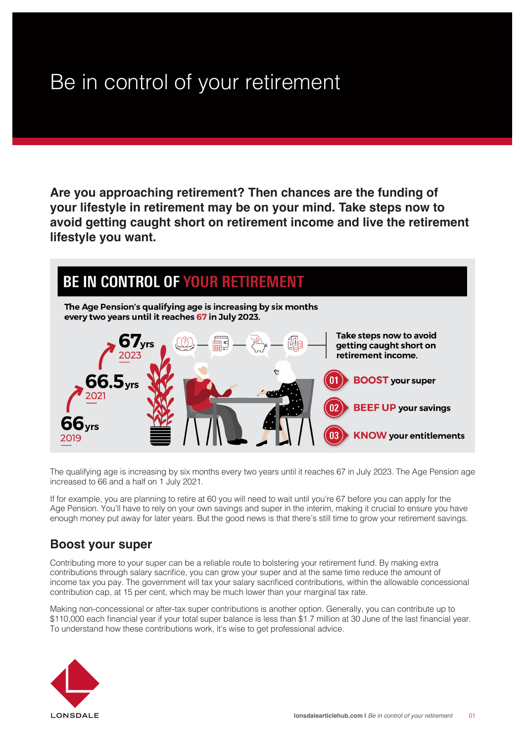## Be in control of your retirement

**Are you approaching retirement? Then chances are the funding of your lifestyle in retirement may be on your mind. Take steps now to avoid getting caught short on retirement income and live the retirement lifestyle you want.** 



The qualifying age is increasing by six months every two years until it reaches 67 in July 2023. The Age Pension age increased to 66 and a half on 1 July 2021.

If for example, you are planning to retire at 60 you will need to wait until you're 67 before you can apply for the Age Pension. You'll have to rely on your own savings and super in the interim, making it crucial to ensure you have enough money put away for later years. But the good news is that there's still time to grow your retirement savings.

## **Boost your super**

Contributing more to your super can be a reliable route to bolstering your retirement fund. By making extra contributions through salary sacrifice, you can grow your super and at the same time reduce the amount of income tax you pay. The government will tax your salary sacrificed contributions, within the allowable concessional contribution cap, at 15 per cent, which may be much lower than your marginal tax rate.

Making non-concessional or after-tax super contributions is another option. Generally, you can contribute up to \$110,000 each financial year if your total super balance is less than \$1.7 million at 30 June of the last financial year. To understand how these contributions work, it's wise to get professional advice.